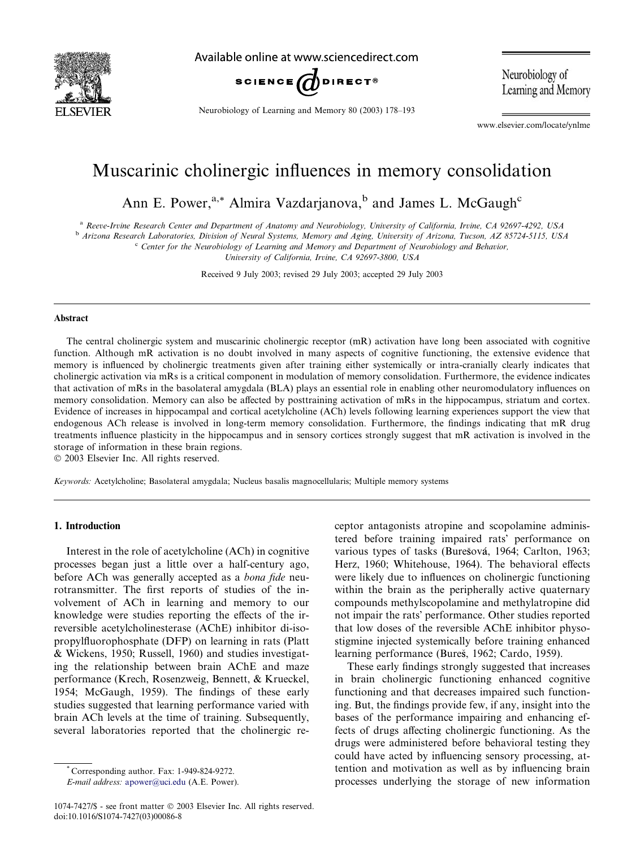

Available online at www.sciencedirect.com



Neurobiology of Learning and Memory 80 (2003) 178–193

Neurobiology of Learning and Memory

www.elsevier.com/locate/ynlme

## Muscarinic cholinergic influences in memory consolidation

Ann E. Power,<sup>a,\*</sup> Almira Vazdarjanova,<sup>b</sup> and James L. McGaugh<sup>c</sup>

<sup>a</sup> Reeve-Irvine Research Center and Department of Anatomy and Neurobiology, University of California, Irvine, CA 92697-4292, USA

b Arizona Research Laboratories, Division of Neural Systems, Memory and Aging, University of Arizona, Tucson, AZ 85724-5115, USA

<sup>c</sup> Center for the Neurobiology of Learning and Memory and Department of Neurobiology and Behavior,

University of California, Irvine, CA 92697-3800, USA

Received 9 July 2003; revised 29 July 2003; accepted 29 July 2003

#### Abstract

The central cholinergic system and muscarinic cholinergic receptor (mR) activation have long been associated with cognitive function. Although mR activation is no doubt involved in many aspects of cognitive functioning, the extensive evidence that memory is influenced by cholinergic treatments given after training either systemically or intra-cranially clearly indicates that cholinergic activation via mRs is a critical component in modulation of memory consolidation. Furthermore, the evidence indicates that activation of mRs in the basolateral amygdala (BLA) plays an essential role in enabling other neuromodulatory influences on memory consolidation. Memory can also be affected by posttraining activation of mRs in the hippocampus, striatum and cortex. Evidence of increases in hippocampal and cortical acetylcholine (ACh) levels following learning experiences support the view that endogenous ACh release is involved in long-term memory consolidation. Furthermore, the findings indicating that mR drug treatments influence plasticity in the hippocampus and in sensory cortices strongly suggest that mR activation is involved in the storage of information in these brain regions.

2003 Elsevier Inc. All rights reserved.

Keywords: Acetylcholine; Basolateral amygdala; Nucleus basalis magnocellularis; Multiple memory systems

#### 1. Introduction

Interest in the role of acetylcholine (ACh) in cognitive processes began just a little over a half-century ago, before ACh was generally accepted as a *bona fide* neurotransmitter. The first reports of studies of the involvement of ACh in learning and memory to our knowledge were studies reporting the effects of the irreversible acetylcholinesterase (AChE) inhibitor di-isopropylfluorophosphate (DFP) on learning in rats (Platt & Wickens, 1950; Russell, 1960) and studies investigating the relationship between brain AChE and maze performance (Krech, Rosenzweig, Bennett, & Krueckel, 1954; McGaugh, 1959). The findings of these early studies suggested that learning performance varied with brain ACh levels at the time of training. Subsequently, several laboratories reported that the cholinergic receptor antagonists atropine and scopolamine administered before training impaired rats' performance on various types of tasks (Burešová, 1964; Carlton, 1963; Herz, 1960; Whitehouse, 1964). The behavioral effects were likely due to influences on cholinergic functioning within the brain as the peripherally active quaternary compounds methylscopolamine and methylatropine did not impair the rats' performance. Other studies reported that low doses of the reversible AChE inhibitor physostigmine injected systemically before training enhanced learning performance (Bures, 1962; Cardo, 1959).

These early findings strongly suggested that increases in brain cholinergic functioning enhanced cognitive functioning and that decreases impaired such functioning. But, the findings provide few, if any, insight into the bases of the performance impairing and enhancing effects of drugs affecting cholinergic functioning. As the drugs were administered before behavioral testing they could have acted by influencing sensory processing, attention and motivation as well as by influencing brain processes underlying the storage of new information

<sup>\*</sup> Corresponding author. Fax: 1-949-824-9272.

E-mail address: [apower@uci.edu](mail to: apower@uci.edu) (A.E. Power).

<sup>1074-7427/\$ -</sup> see front matter 2003 Elsevier Inc. All rights reserved. doi:10.1016/S1074-7427(03)00086-8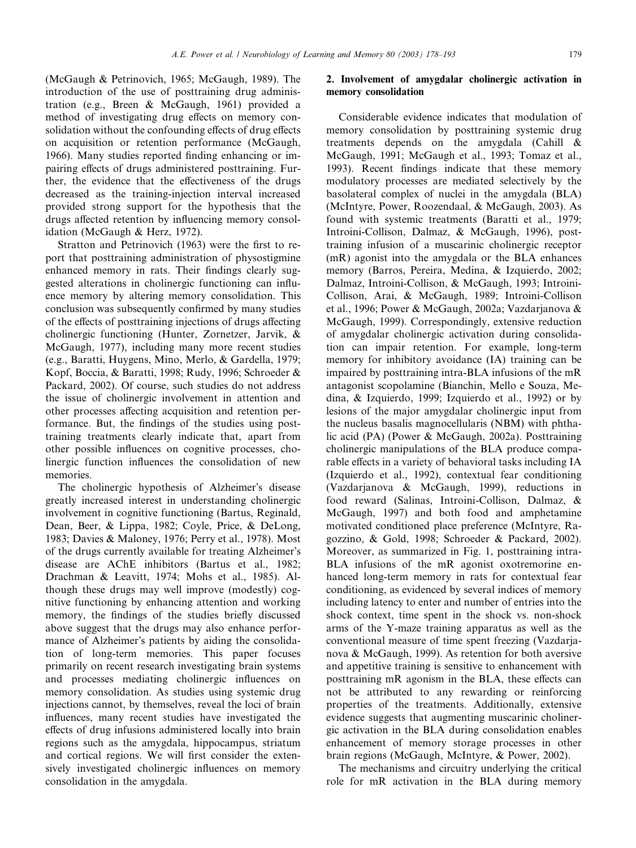(McGaugh & Petrinovich, 1965; McGaugh, 1989). The introduction of the use of posttraining drug administration (e.g., Breen & McGaugh, 1961) provided a method of investigating drug effects on memory consolidation without the confounding effects of drug effects on acquisition or retention performance (McGaugh, 1966). Many studies reported finding enhancing or impairing effects of drugs administered posttraining. Further, the evidence that the effectiveness of the drugs decreased as the training-injection interval increased provided strong support for the hypothesis that the drugs affected retention by influencing memory consolidation (McGaugh & Herz, 1972).

Stratton and Petrinovich (1963) were the first to report that posttraining administration of physostigmine enhanced memory in rats. Their findings clearly suggested alterations in cholinergic functioning can influence memory by altering memory consolidation. This conclusion was subsequently confirmed by many studies of the effects of posttraining injections of drugs affecting cholinergic functioning (Hunter, Zornetzer, Jarvik, & McGaugh, 1977), including many more recent studies (e.g., Baratti, Huygens, Mino, Merlo, & Gardella, 1979; Kopf, Boccia, & Baratti, 1998; Rudy, 1996; Schroeder & Packard, 2002). Of course, such studies do not address the issue of cholinergic involvement in attention and other processes affecting acquisition and retention performance. But, the findings of the studies using posttraining treatments clearly indicate that, apart from other possible influences on cognitive processes, cholinergic function influences the consolidation of new memories.

The cholinergic hypothesis of Alzheimer's disease greatly increased interest in understanding cholinergic involvement in cognitive functioning (Bartus, Reginald, Dean, Beer, & Lippa, 1982; Coyle, Price, & DeLong, 1983; Davies & Maloney, 1976; Perry et al., 1978). Most of the drugs currently available for treating Alzheimer's disease are AChE inhibitors (Bartus et al., 1982; Drachman & Leavitt, 1974; Mohs et al., 1985). Although these drugs may well improve (modestly) cognitive functioning by enhancing attention and working memory, the findings of the studies briefly discussed above suggest that the drugs may also enhance performance of Alzheimer's patients by aiding the consolidation of long-term memories. This paper focuses primarily on recent research investigating brain systems and processes mediating cholinergic influences on memory consolidation. As studies using systemic drug injections cannot, by themselves, reveal the loci of brain influences, many recent studies have investigated the effects of drug infusions administered locally into brain regions such as the amygdala, hippocampus, striatum and cortical regions. We will first consider the extensively investigated cholinergic influences on memory consolidation in the amygdala.

### 2. Involvement of amygdalar cholinergic activation in memory consolidation

Considerable evidence indicates that modulation of memory consolidation by posttraining systemic drug treatments depends on the amygdala (Cahill & McGaugh, 1991; McGaugh et al., 1993; Tomaz et al., 1993). Recent findings indicate that these memory modulatory processes are mediated selectively by the basolateral complex of nuclei in the amygdala (BLA) (McIntyre, Power, Roozendaal, & McGaugh, 2003). As found with systemic treatments (Baratti et al., 1979; Introini-Collison, Dalmaz, & McGaugh, 1996), posttraining infusion of a muscarinic cholinergic receptor (mR) agonist into the amygdala or the BLA enhances memory (Barros, Pereira, Medina, & Izquierdo, 2002; Dalmaz, Introini-Collison, & McGaugh, 1993; Introini-Collison, Arai, & McGaugh, 1989; Introini-Collison et al., 1996; Power & McGaugh, 2002a; Vazdarjanova & McGaugh, 1999). Correspondingly, extensive reduction of amygdalar cholinergic activation during consolidation can impair retention. For example, long-term memory for inhibitory avoidance (IA) training can be impaired by posttraining intra-BLA infusions of the mR antagonist scopolamine (Bianchin, Mello e Souza, Medina, & Izquierdo, 1999; Izquierdo et al., 1992) or by lesions of the major amygdalar cholinergic input from the nucleus basalis magnocellularis (NBM) with phthalic acid (PA) (Power & McGaugh, 2002a). Posttraining cholinergic manipulations of the BLA produce comparable effects in a variety of behavioral tasks including IA (Izquierdo et al., 1992), contextual fear conditioning (Vazdarjanova & McGaugh, 1999), reductions in food reward (Salinas, Introini-Collison, Dalmaz, & McGaugh, 1997) and both food and amphetamine motivated conditioned place preference (McIntyre, Ragozzino, & Gold, 1998; Schroeder & Packard, 2002). Moreover, as summarized in Fig. 1, posttraining intra-BLA infusions of the mR agonist oxotremorine enhanced long-term memory in rats for contextual fear conditioning, as evidenced by several indices of memory including latency to enter and number of entries into the shock context, time spent in the shock vs. non-shock arms of the Y-maze training apparatus as well as the conventional measure of time spent freezing (Vazdarjanova & McGaugh, 1999). As retention for both aversive and appetitive training is sensitive to enhancement with posttraining mR agonism in the BLA, these effects can not be attributed to any rewarding or reinforcing properties of the treatments. Additionally, extensive evidence suggests that augmenting muscarinic cholinergic activation in the BLA during consolidation enables enhancement of memory storage processes in other brain regions (McGaugh, McIntyre, & Power, 2002).

The mechanisms and circuitry underlying the critical role for mR activation in the BLA during memory